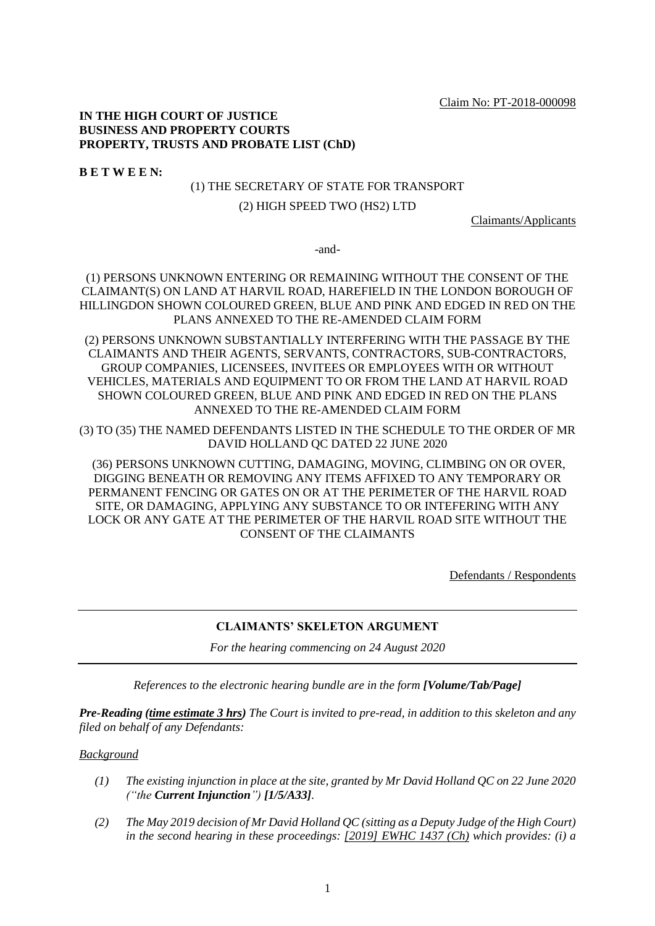Claim No: PT-2018-000098

# **IN THE HIGH COURT OF JUSTICE BUSINESS AND PROPERTY COURTS PROPERTY, TRUSTS AND PROBATE LIST (ChD)**

**B E T W E E N:**

### (1) THE SECRETARY OF STATE FOR TRANSPORT

## (2) HIGH SPEED TWO (HS2) LTD

Claimants/Applicants

-and-

(1) PERSONS UNKNOWN ENTERING OR REMAINING WITHOUT THE CONSENT OF THE CLAIMANT(S) ON LAND AT HARVIL ROAD, HAREFIELD IN THE LONDON BOROUGH OF HILLINGDON SHOWN COLOURED GREEN, BLUE AND PINK AND EDGED IN RED ON THE PLANS ANNEXED TO THE RE-AMENDED CLAIM FORM

(2) PERSONS UNKNOWN SUBSTANTIALLY INTERFERING WITH THE PASSAGE BY THE CLAIMANTS AND THEIR AGENTS, SERVANTS, CONTRACTORS, SUB-CONTRACTORS, GROUP COMPANIES, LICENSEES, INVITEES OR EMPLOYEES WITH OR WITHOUT VEHICLES, MATERIALS AND EQUIPMENT TO OR FROM THE LAND AT HARVIL ROAD SHOWN COLOURED GREEN, BLUE AND PINK AND EDGED IN RED ON THE PLANS ANNEXED TO THE RE-AMENDED CLAIM FORM

(3) TO (35) THE NAMED DEFENDANTS LISTED IN THE SCHEDULE TO THE ORDER OF MR DAVID HOLLAND QC DATED 22 JUNE 2020

(36) PERSONS UNKNOWN CUTTING, DAMAGING, MOVING, CLIMBING ON OR OVER, DIGGING BENEATH OR REMOVING ANY ITEMS AFFIXED TO ANY TEMPORARY OR PERMANENT FENCING OR GATES ON OR AT THE PERIMETER OF THE HARVIL ROAD SITE, OR DAMAGING, APPLYING ANY SUBSTANCE TO OR INTEFERING WITH ANY LOCK OR ANY GATE AT THE PERIMETER OF THE HARVIL ROAD SITE WITHOUT THE CONSENT OF THE CLAIMANTS

Defendants / Respondents

## **CLAIMANTS' SKELETON ARGUMENT**

*For the hearing commencing on 24 August 2020*

*References to the electronic hearing bundle are in the form [Volume/Tab/Page]*

*Pre-Reading (time estimate 3 hrs) The Court is invited to pre-read, in addition to this skeleton and any filed on behalf of any Defendants:*

# *Background*

- *(1) The existing injunction in place at the site, granted by Mr David Holland QC on 22 June 2020 ("the Current Injunction") [1/5/A33].*
- *(2) The May 2019 decision of Mr David Holland QC (sitting as a Deputy Judge of the High Court) in the second hearing in these proceedings: [2019] EWHC 1437 (Ch) which provides: (i) a*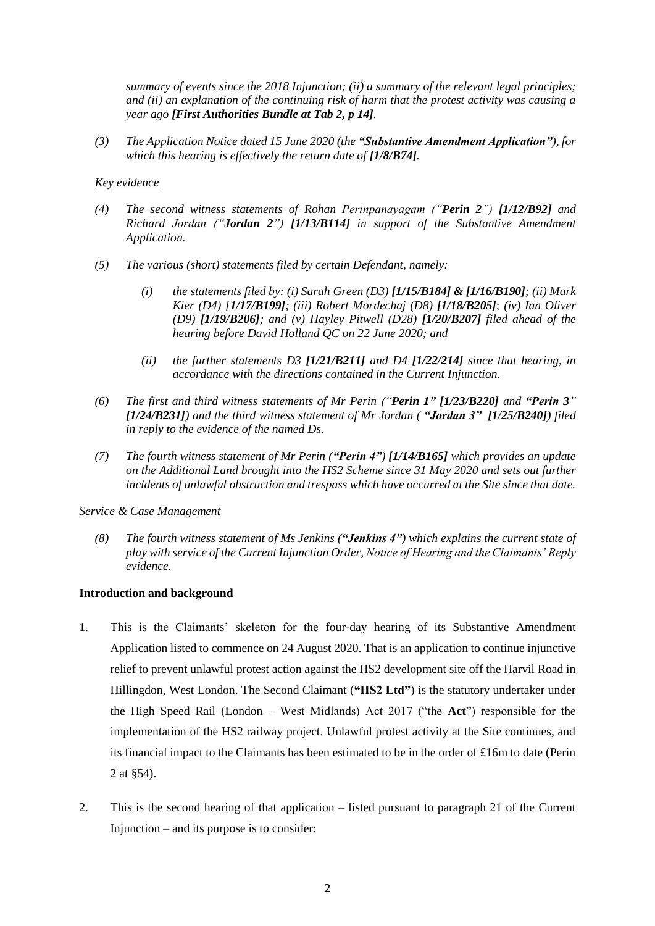*summary of events since the 2018 Injunction; (ii) a summary of the relevant legal principles; and (ii) an explanation of the continuing risk of harm that the protest activity was causing a year ago [First Authorities Bundle at Tab 2, p 14].*

*(3) The Application Notice dated 15 June 2020 (the "Substantive Amendment Application"), for which this hearing is effectively the return date of [1/8/B74].*

## *Key evidence*

- *(4) The second witness statements of Rohan Perinpanayagam ("Perin 2") [1/12/B92] and Richard Jordan ("Jordan 2") [1/13/B114] in support of the Substantive Amendment Application.*
- *(5) The various (short) statements filed by certain Defendant, namely:* 
	- *(i) the statements filed by: (i) Sarah Green (D3) [1/15/B184] & [1/16/B190]; (ii) Mark Kier (D4) [1/17/B199]; (iii) Robert Mordechaj (D8) [1/18/B205]*; *(iv) Ian Oliver (D9) [1/19/B206]; and (v) Hayley Pitwell (D28) [1/20/B207] filed ahead of the hearing before David Holland QC on 22 June 2020; and*
	- *(ii) the further statements D3 [1/21/B211] and D4 [1/22/214] since that hearing, in accordance with the directions contained in the Current Injunction.*
- *(6) The first and third witness statements of Mr Perin ("Perin 1" [1/23/B220] and "Perin 3" [1/24/B231]) and the third witness statement of Mr Jordan ( "Jordan 3" [1/25/B240]) filed in reply to the evidence of the named Ds.*
- *(7) The fourth witness statement of Mr Perin ("Perin 4") [1/14/B165] which provides an update on the Additional Land brought into the HS2 Scheme since 31 May 2020 and sets out further incidents of unlawful obstruction and trespass which have occurred at the Site since that date.*

## *Service & Case Management*

*(8) The fourth witness statement of Ms Jenkins ("Jenkins 4") which explains the current state of play with service of the Current Injunction Order, Notice of Hearing and the Claimants' Reply evidence.*

## **Introduction and background**

- 1. This is the Claimants' skeleton for the four-day hearing of its Substantive Amendment Application listed to commence on 24 August 2020. That is an application to continue injunctive relief to prevent unlawful protest action against the HS2 development site off the Harvil Road in Hillingdon, West London. The Second Claimant (**"HS2 Ltd"**) is the statutory undertaker under the High Speed Rail (London – West Midlands) Act 2017 ("the **Act**") responsible for the implementation of the HS2 railway project. Unlawful protest activity at the Site continues, and its financial impact to the Claimants has been estimated to be in the order of £16m to date (Perin 2 at §54).
- 2. This is the second hearing of that application listed pursuant to paragraph 21 of the Current Injunction – and its purpose is to consider: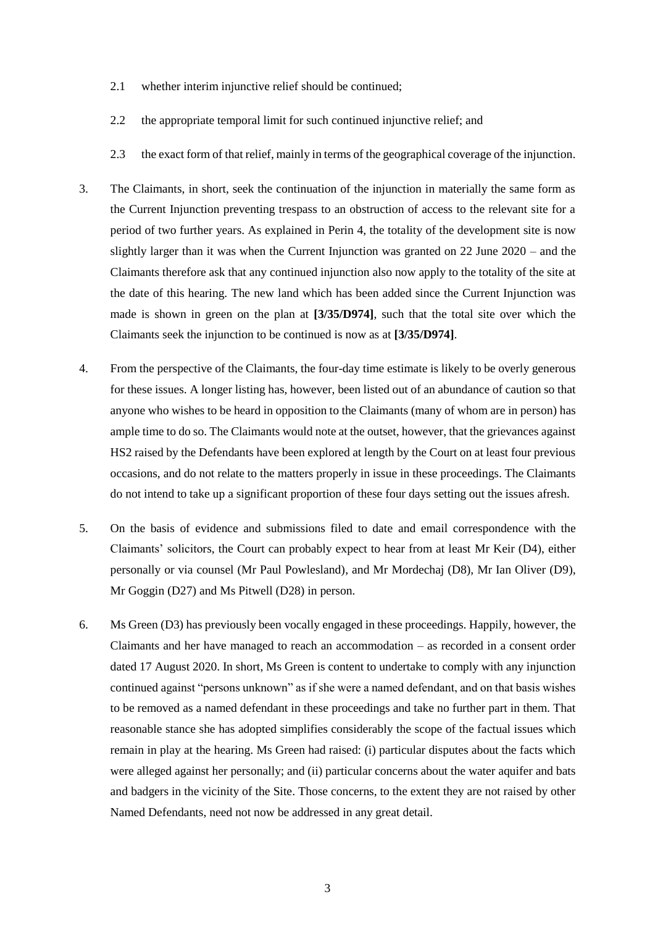- 2.1 whether interim injunctive relief should be continued;
- 2.2 the appropriate temporal limit for such continued injunctive relief; and
- 2.3 the exact form of that relief, mainly in terms of the geographical coverage of the injunction.
- 3. The Claimants, in short, seek the continuation of the injunction in materially the same form as the Current Injunction preventing trespass to an obstruction of access to the relevant site for a period of two further years. As explained in Perin 4, the totality of the development site is now slightly larger than it was when the Current Injunction was granted on 22 June 2020 – and the Claimants therefore ask that any continued injunction also now apply to the totality of the site at the date of this hearing. The new land which has been added since the Current Injunction was made is shown in green on the plan at **[3/35/D974]**, such that the total site over which the Claimants seek the injunction to be continued is now as at **[3/35/D974]**.
- 4. From the perspective of the Claimants, the four-day time estimate is likely to be overly generous for these issues. A longer listing has, however, been listed out of an abundance of caution so that anyone who wishes to be heard in opposition to the Claimants (many of whom are in person) has ample time to do so. The Claimants would note at the outset, however, that the grievances against HS2 raised by the Defendants have been explored at length by the Court on at least four previous occasions, and do not relate to the matters properly in issue in these proceedings. The Claimants do not intend to take up a significant proportion of these four days setting out the issues afresh.
- 5. On the basis of evidence and submissions filed to date and email correspondence with the Claimants' solicitors, the Court can probably expect to hear from at least Mr Keir (D4), either personally or via counsel (Mr Paul Powlesland), and Mr Mordechaj (D8), Mr Ian Oliver (D9), Mr Goggin (D27) and Ms Pitwell (D28) in person.
- 6. Ms Green (D3) has previously been vocally engaged in these proceedings. Happily, however, the Claimants and her have managed to reach an accommodation – as recorded in a consent order dated 17 August 2020. In short, Ms Green is content to undertake to comply with any injunction continued against "persons unknown" as if she were a named defendant, and on that basis wishes to be removed as a named defendant in these proceedings and take no further part in them. That reasonable stance she has adopted simplifies considerably the scope of the factual issues which remain in play at the hearing. Ms Green had raised: (i) particular disputes about the facts which were alleged against her personally; and (ii) particular concerns about the water aquifer and bats and badgers in the vicinity of the Site. Those concerns, to the extent they are not raised by other Named Defendants, need not now be addressed in any great detail.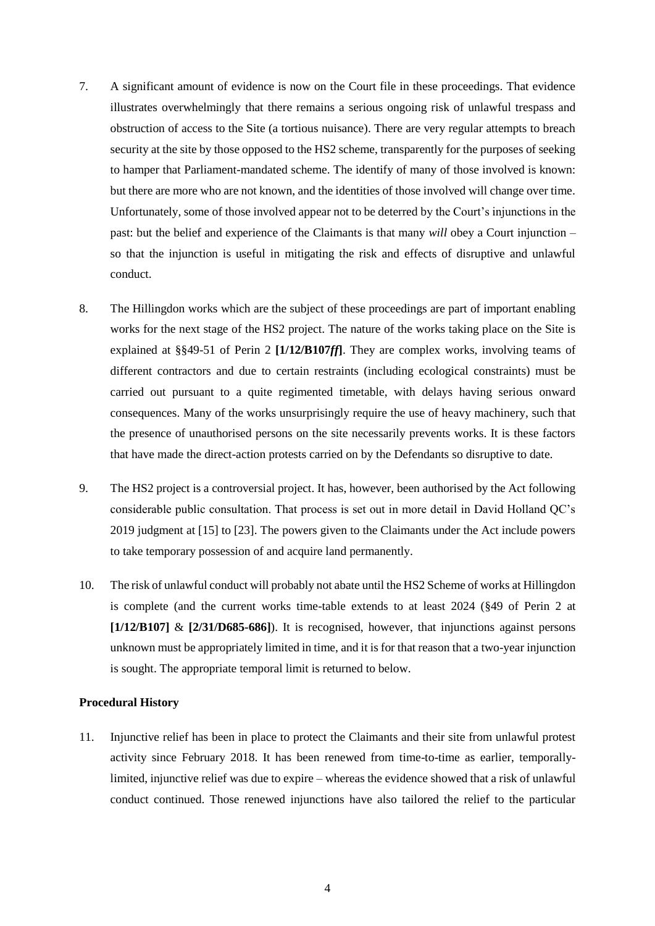- 7. A significant amount of evidence is now on the Court file in these proceedings. That evidence illustrates overwhelmingly that there remains a serious ongoing risk of unlawful trespass and obstruction of access to the Site (a tortious nuisance). There are very regular attempts to breach security at the site by those opposed to the HS2 scheme, transparently for the purposes of seeking to hamper that Parliament-mandated scheme. The identify of many of those involved is known: but there are more who are not known, and the identities of those involved will change over time. Unfortunately, some of those involved appear not to be deterred by the Court's injunctions in the past: but the belief and experience of the Claimants is that many *will* obey a Court injunction – so that the injunction is useful in mitigating the risk and effects of disruptive and unlawful conduct.
- 8. The Hillingdon works which are the subject of these proceedings are part of important enabling works for the next stage of the HS2 project. The nature of the works taking place on the Site is explained at §§49-51 of Perin 2 **[1/12/B107***ff***]**. They are complex works, involving teams of different contractors and due to certain restraints (including ecological constraints) must be carried out pursuant to a quite regimented timetable, with delays having serious onward consequences. Many of the works unsurprisingly require the use of heavy machinery, such that the presence of unauthorised persons on the site necessarily prevents works. It is these factors that have made the direct-action protests carried on by the Defendants so disruptive to date.
- 9. The HS2 project is a controversial project. It has, however, been authorised by the Act following considerable public consultation. That process is set out in more detail in David Holland QC's 2019 judgment at [15] to [23]. The powers given to the Claimants under the Act include powers to take temporary possession of and acquire land permanently.
- 10. The risk of unlawful conduct will probably not abate until the HS2 Scheme of works at Hillingdon is complete (and the current works time-table extends to at least 2024 (§49 of Perin 2 at  $[1/12/B107]$  &  $[2/31/D685-686]$ ). It is recognised, however, that injunctions against persons unknown must be appropriately limited in time, and it is for that reason that a two-year injunction is sought. The appropriate temporal limit is returned to below.

# **Procedural History**

11. Injunctive relief has been in place to protect the Claimants and their site from unlawful protest activity since February 2018. It has been renewed from time-to-time as earlier, temporallylimited, injunctive relief was due to expire – whereas the evidence showed that a risk of unlawful conduct continued. Those renewed injunctions have also tailored the relief to the particular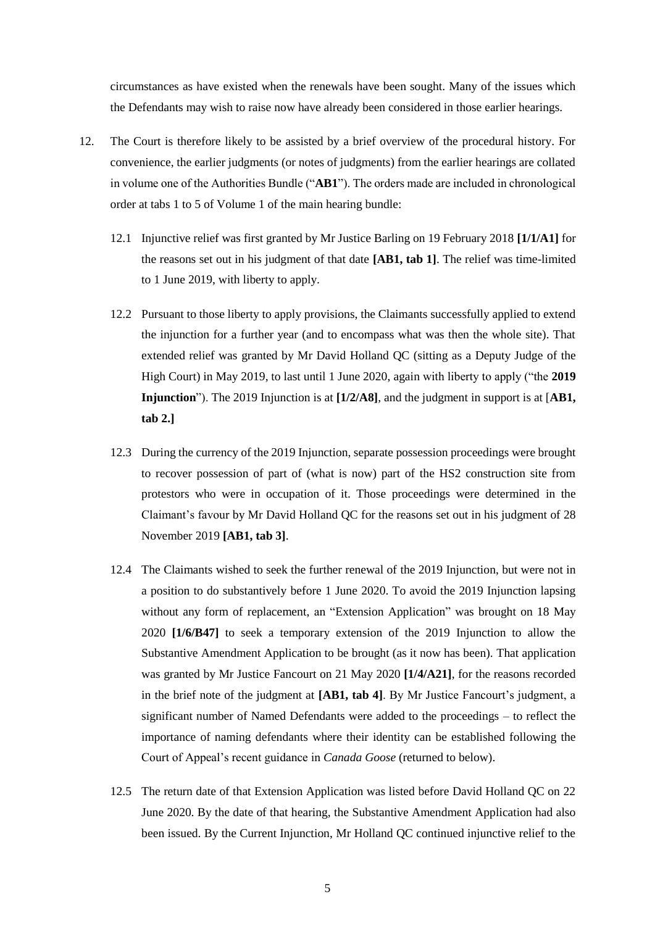circumstances as have existed when the renewals have been sought. Many of the issues which the Defendants may wish to raise now have already been considered in those earlier hearings.

- 12. The Court is therefore likely to be assisted by a brief overview of the procedural history. For convenience, the earlier judgments (or notes of judgments) from the earlier hearings are collated in volume one of the Authorities Bundle ("**AB1**"). The orders made are included in chronological order at tabs 1 to 5 of Volume 1 of the main hearing bundle:
	- 12.1 Injunctive relief was first granted by Mr Justice Barling on 19 February 2018 **[1/1/A1]** for the reasons set out in his judgment of that date **[AB1, tab 1]**. The relief was time-limited to 1 June 2019, with liberty to apply.
	- 12.2 Pursuant to those liberty to apply provisions, the Claimants successfully applied to extend the injunction for a further year (and to encompass what was then the whole site). That extended relief was granted by Mr David Holland QC (sitting as a Deputy Judge of the High Court) in May 2019, to last until 1 June 2020, again with liberty to apply ("the **2019 Injunction**"). The 2019 Injunction is at **[1/2/A8]**, and the judgment in support is at [**AB1, tab 2.]**
	- 12.3 During the currency of the 2019 Injunction, separate possession proceedings were brought to recover possession of part of (what is now) part of the HS2 construction site from protestors who were in occupation of it. Those proceedings were determined in the Claimant's favour by Mr David Holland QC for the reasons set out in his judgment of 28 November 2019 **[AB1, tab 3]**.
	- 12.4 The Claimants wished to seek the further renewal of the 2019 Injunction, but were not in a position to do substantively before 1 June 2020. To avoid the 2019 Injunction lapsing without any form of replacement, an "Extension Application" was brought on 18 May 2020 **[1/6/B47]** to seek a temporary extension of the 2019 Injunction to allow the Substantive Amendment Application to be brought (as it now has been). That application was granted by Mr Justice Fancourt on 21 May 2020 **[1/4/A21]**, for the reasons recorded in the brief note of the judgment at **[AB1, tab 4]**. By Mr Justice Fancourt's judgment, a significant number of Named Defendants were added to the proceedings – to reflect the importance of naming defendants where their identity can be established following the Court of Appeal's recent guidance in *Canada Goose* (returned to below).
	- 12.5 The return date of that Extension Application was listed before David Holland QC on 22 June 2020. By the date of that hearing, the Substantive Amendment Application had also been issued. By the Current Injunction, Mr Holland QC continued injunctive relief to the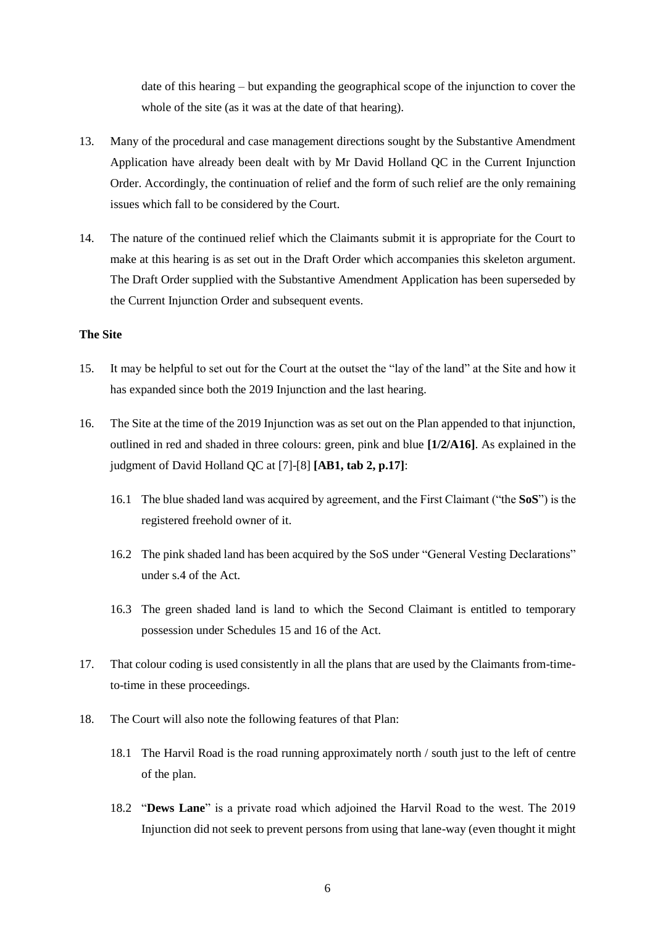date of this hearing – but expanding the geographical scope of the injunction to cover the whole of the site (as it was at the date of that hearing).

- 13. Many of the procedural and case management directions sought by the Substantive Amendment Application have already been dealt with by Mr David Holland QC in the Current Injunction Order. Accordingly, the continuation of relief and the form of such relief are the only remaining issues which fall to be considered by the Court.
- 14. The nature of the continued relief which the Claimants submit it is appropriate for the Court to make at this hearing is as set out in the Draft Order which accompanies this skeleton argument. The Draft Order supplied with the Substantive Amendment Application has been superseded by the Current Injunction Order and subsequent events.

# **The Site**

- 15. It may be helpful to set out for the Court at the outset the "lay of the land" at the Site and how it has expanded since both the 2019 Injunction and the last hearing.
- 16. The Site at the time of the 2019 Injunction was as set out on the Plan appended to that injunction, outlined in red and shaded in three colours: green, pink and blue **[1/2/A16]**. As explained in the judgment of David Holland QC at [7]-[8] **[AB1, tab 2, p.17]**:
	- 16.1 The blue shaded land was acquired by agreement, and the First Claimant ("the **SoS**") is the registered freehold owner of it.
	- 16.2 The pink shaded land has been acquired by the SoS under "General Vesting Declarations" under s.4 of the Act.
	- 16.3 The green shaded land is land to which the Second Claimant is entitled to temporary possession under Schedules 15 and 16 of the Act.
- 17. That colour coding is used consistently in all the plans that are used by the Claimants from-timeto-time in these proceedings.
- 18. The Court will also note the following features of that Plan:
	- 18.1 The Harvil Road is the road running approximately north / south just to the left of centre of the plan.
	- 18.2 "**Dews Lane**" is a private road which adjoined the Harvil Road to the west. The 2019 Injunction did not seek to prevent persons from using that lane-way (even thought it might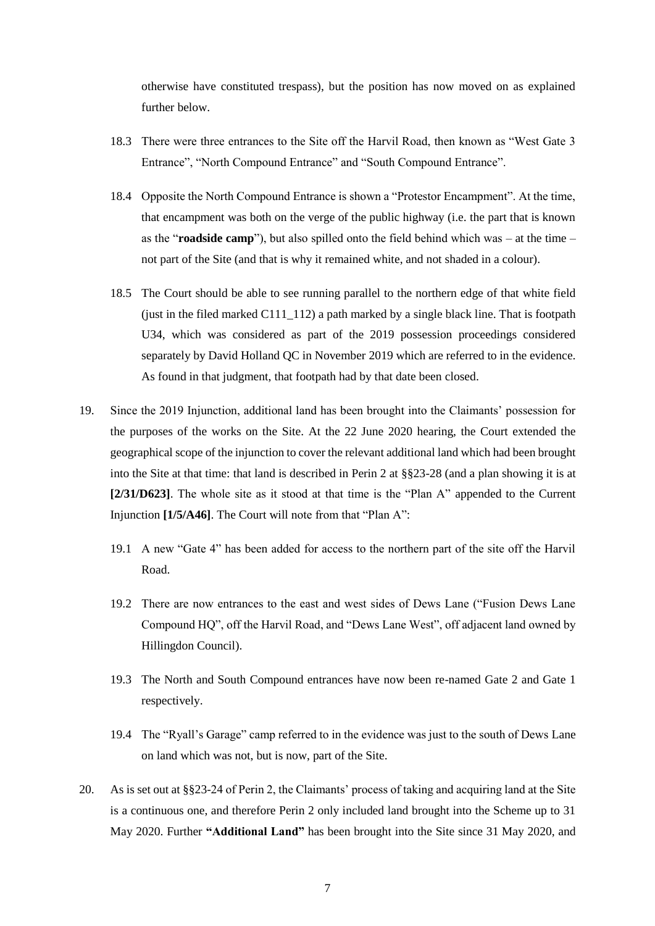otherwise have constituted trespass), but the position has now moved on as explained further below.

- 18.3 There were three entrances to the Site off the Harvil Road, then known as "West Gate 3 Entrance", "North Compound Entrance" and "South Compound Entrance".
- 18.4 Opposite the North Compound Entrance is shown a "Protestor Encampment". At the time, that encampment was both on the verge of the public highway (i.e. the part that is known as the "**roadside camp**"), but also spilled onto the field behind which was – at the time – not part of the Site (and that is why it remained white, and not shaded in a colour).
- 18.5 The Court should be able to see running parallel to the northern edge of that white field (just in the filed marked C111\_112) a path marked by a single black line. That is footpath U34, which was considered as part of the 2019 possession proceedings considered separately by David Holland QC in November 2019 which are referred to in the evidence. As found in that judgment, that footpath had by that date been closed.
- 19. Since the 2019 Injunction, additional land has been brought into the Claimants' possession for the purposes of the works on the Site. At the 22 June 2020 hearing, the Court extended the geographical scope of the injunction to cover the relevant additional land which had been brought into the Site at that time: that land is described in Perin 2 at §§23-28 (and a plan showing it is at **[2/31/D623]**. The whole site as it stood at that time is the "Plan A" appended to the Current Injunction **[1/5/A46]**. The Court will note from that "Plan A":
	- 19.1 A new "Gate 4" has been added for access to the northern part of the site off the Harvil Road.
	- 19.2 There are now entrances to the east and west sides of Dews Lane ("Fusion Dews Lane Compound HQ", off the Harvil Road, and "Dews Lane West", off adjacent land owned by Hillingdon Council).
	- 19.3 The North and South Compound entrances have now been re-named Gate 2 and Gate 1 respectively.
	- 19.4 The "Ryall's Garage" camp referred to in the evidence was just to the south of Dews Lane on land which was not, but is now, part of the Site.
- 20. As is set out at §§23-24 of Perin 2, the Claimants' process of taking and acquiring land at the Site is a continuous one, and therefore Perin 2 only included land brought into the Scheme up to 31 May 2020. Further **"Additional Land"** has been brought into the Site since 31 May 2020, and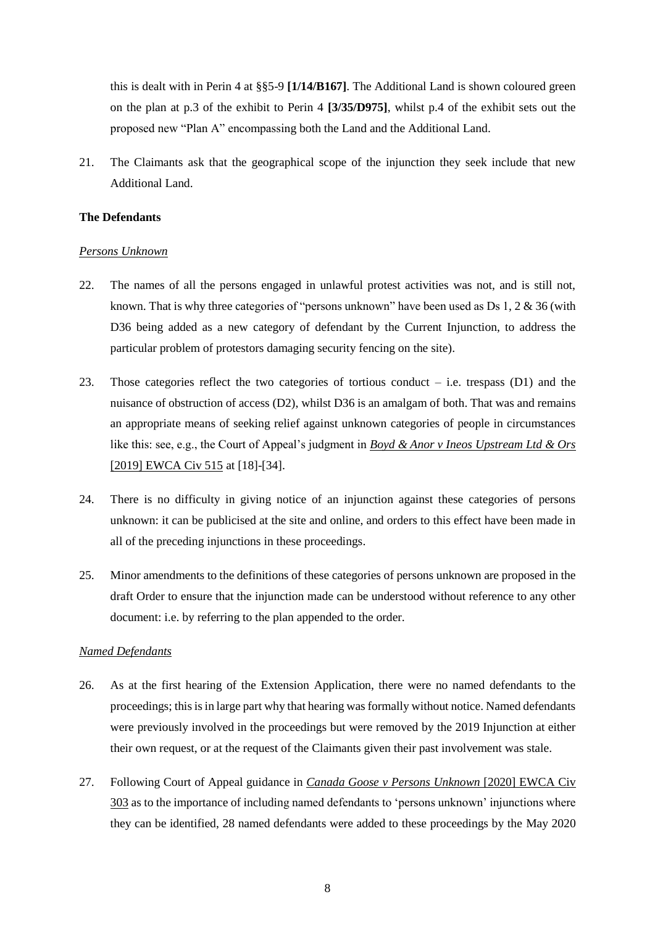this is dealt with in Perin 4 at §§5-9 **[1/14/B167]**. The Additional Land is shown coloured green on the plan at p.3 of the exhibit to Perin 4 **[3/35/D975]**, whilst p.4 of the exhibit sets out the proposed new "Plan A" encompassing both the Land and the Additional Land.

21. The Claimants ask that the geographical scope of the injunction they seek include that new Additional Land.

# **The Defendants**

#### *Persons Unknown*

- 22. The names of all the persons engaged in unlawful protest activities was not, and is still not, known. That is why three categories of "persons unknown" have been used as Ds 1, 2 & 36 (with D36 being added as a new category of defendant by the Current Injunction, to address the particular problem of protestors damaging security fencing on the site).
- 23. Those categories reflect the two categories of tortious conduct  $-$  i.e. trespass (D1) and the nuisance of obstruction of access (D2), whilst D36 is an amalgam of both. That was and remains an appropriate means of seeking relief against unknown categories of people in circumstances like this: see, e.g., the Court of Appeal's judgment in *Boyd & Anor v Ineos Upstream Ltd & Ors*  [2019] EWCA Civ 515 at [18]-[34].
- 24. There is no difficulty in giving notice of an injunction against these categories of persons unknown: it can be publicised at the site and online, and orders to this effect have been made in all of the preceding injunctions in these proceedings.
- 25. Minor amendments to the definitions of these categories of persons unknown are proposed in the draft Order to ensure that the injunction made can be understood without reference to any other document: i.e. by referring to the plan appended to the order.

## *Named Defendants*

- 26. As at the first hearing of the Extension Application, there were no named defendants to the proceedings; this is in large part why that hearing was formally without notice. Named defendants were previously involved in the proceedings but were removed by the 2019 Injunction at either their own request, or at the request of the Claimants given their past involvement was stale.
- 27. Following Court of Appeal guidance in *Canada Goose v Persons Unknown* [2020] EWCA Civ 303 as to the importance of including named defendants to 'persons unknown' injunctions where they can be identified, 28 named defendants were added to these proceedings by the May 2020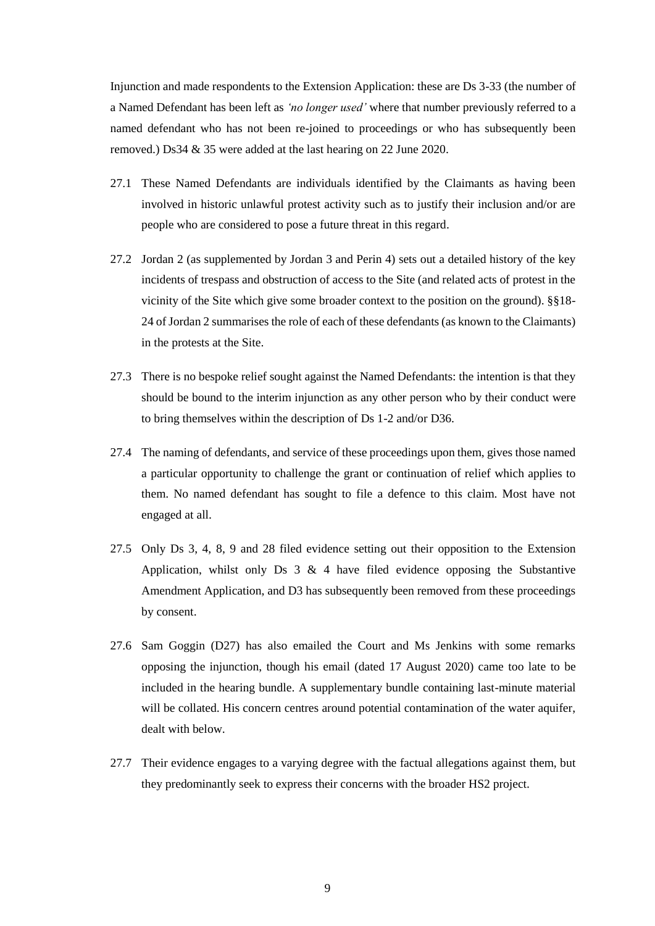Injunction and made respondents to the Extension Application: these are Ds 3-33 (the number of a Named Defendant has been left as *'no longer used'* where that number previously referred to a named defendant who has not been re-joined to proceedings or who has subsequently been removed.) Ds34 & 35 were added at the last hearing on 22 June 2020.

- 27.1 These Named Defendants are individuals identified by the Claimants as having been involved in historic unlawful protest activity such as to justify their inclusion and/or are people who are considered to pose a future threat in this regard.
- 27.2 Jordan 2 (as supplemented by Jordan 3 and Perin 4) sets out a detailed history of the key incidents of trespass and obstruction of access to the Site (and related acts of protest in the vicinity of the Site which give some broader context to the position on the ground). §§18- 24 of Jordan 2 summarises the role of each of these defendants (as known to the Claimants) in the protests at the Site.
- 27.3 There is no bespoke relief sought against the Named Defendants: the intention is that they should be bound to the interim injunction as any other person who by their conduct were to bring themselves within the description of Ds 1-2 and/or D36.
- 27.4 The naming of defendants, and service of these proceedings upon them, gives those named a particular opportunity to challenge the grant or continuation of relief which applies to them. No named defendant has sought to file a defence to this claim. Most have not engaged at all.
- 27.5 Only Ds 3, 4, 8, 9 and 28 filed evidence setting out their opposition to the Extension Application, whilst only Ds  $3 \& 4$  have filed evidence opposing the Substantive Amendment Application, and D3 has subsequently been removed from these proceedings by consent.
- 27.6 Sam Goggin (D27) has also emailed the Court and Ms Jenkins with some remarks opposing the injunction, though his email (dated 17 August 2020) came too late to be included in the hearing bundle. A supplementary bundle containing last-minute material will be collated. His concern centres around potential contamination of the water aquifer, dealt with below.
- 27.7 Their evidence engages to a varying degree with the factual allegations against them, but they predominantly seek to express their concerns with the broader HS2 project.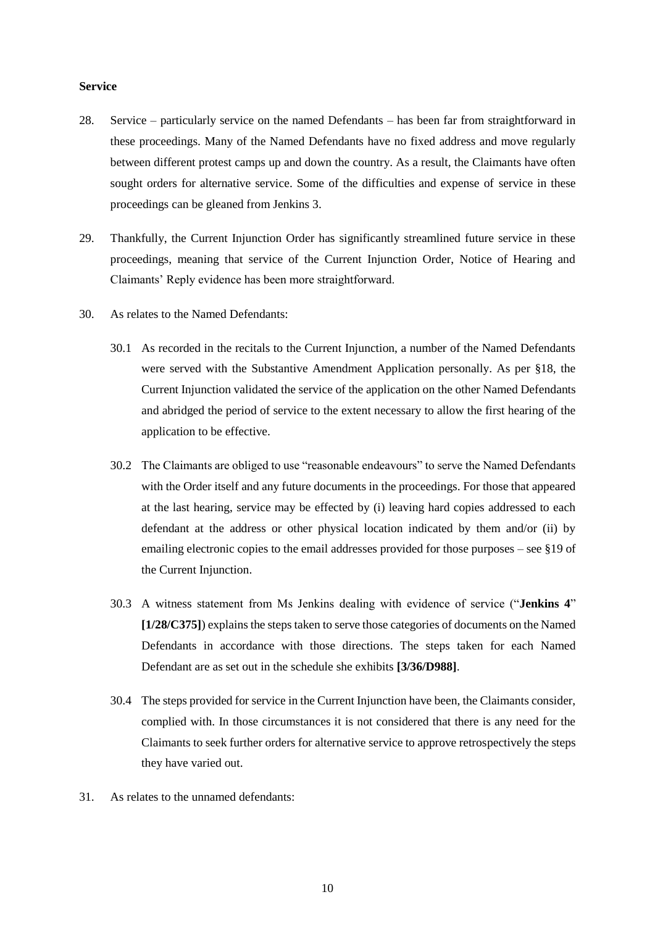#### **Service**

- 28. Service particularly service on the named Defendants has been far from straightforward in these proceedings. Many of the Named Defendants have no fixed address and move regularly between different protest camps up and down the country. As a result, the Claimants have often sought orders for alternative service. Some of the difficulties and expense of service in these proceedings can be gleaned from Jenkins 3.
- 29. Thankfully, the Current Injunction Order has significantly streamlined future service in these proceedings, meaning that service of the Current Injunction Order, Notice of Hearing and Claimants' Reply evidence has been more straightforward.
- 30. As relates to the Named Defendants:
	- 30.1 As recorded in the recitals to the Current Injunction, a number of the Named Defendants were served with the Substantive Amendment Application personally. As per §18, the Current Injunction validated the service of the application on the other Named Defendants and abridged the period of service to the extent necessary to allow the first hearing of the application to be effective.
	- 30.2 The Claimants are obliged to use "reasonable endeavours" to serve the Named Defendants with the Order itself and any future documents in the proceedings. For those that appeared at the last hearing, service may be effected by (i) leaving hard copies addressed to each defendant at the address or other physical location indicated by them and/or (ii) by emailing electronic copies to the email addresses provided for those purposes – see §19 of the Current Injunction.
	- 30.3 A witness statement from Ms Jenkins dealing with evidence of service ("**Jenkins 4**" **[1/28/C375]**) explains the steps taken to serve those categories of documents on the Named Defendants in accordance with those directions. The steps taken for each Named Defendant are as set out in the schedule she exhibits **[3/36/D988]**.
	- 30.4 The steps provided for service in the Current Injunction have been, the Claimants consider, complied with. In those circumstances it is not considered that there is any need for the Claimants to seek further orders for alternative service to approve retrospectively the steps they have varied out.
- 31. As relates to the unnamed defendants: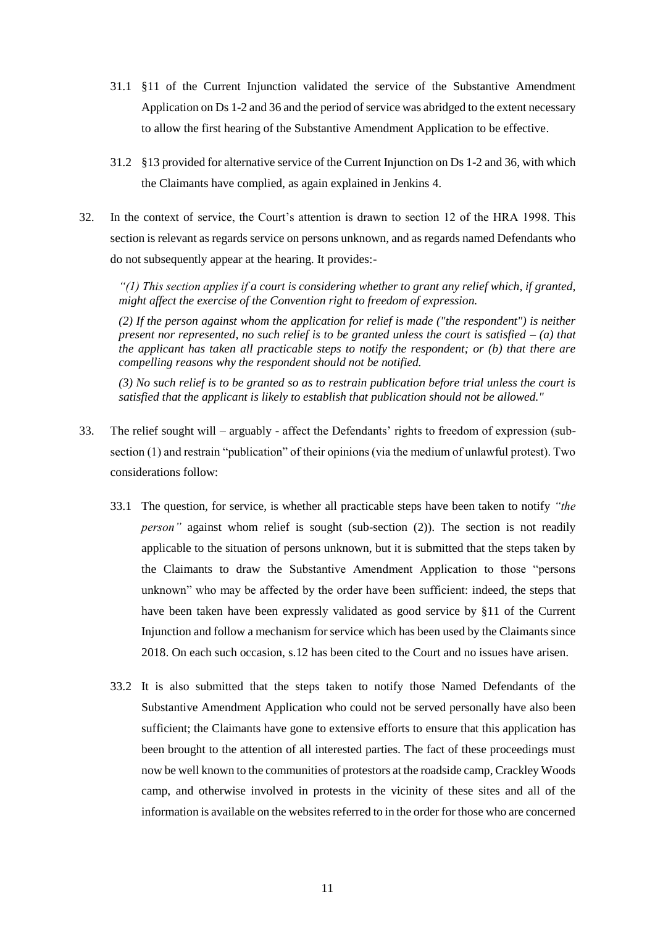- 31.1 §11 of the Current Injunction validated the service of the Substantive Amendment Application on Ds 1-2 and 36 and the period of service was abridged to the extent necessary to allow the first hearing of the Substantive Amendment Application to be effective.
- 31.2 §13 provided for alternative service of the Current Injunction on Ds 1-2 and 36, with which the Claimants have complied, as again explained in Jenkins 4.
- 32. In the context of service, the Court's attention is drawn to section 12 of the HRA 1998. This section is relevant as regards service on persons unknown, and as regards named Defendants who do not subsequently appear at the hearing. It provides:-

*"(1) This section applies if a court is considering whether to grant any relief which, if granted, might affect the exercise of the Convention right to freedom of expression.*

*(2) If the person against whom the application for relief is made ("the respondent") is neither present nor represented, no such relief is to be granted unless the court is satisfied – (a) that the applicant has taken all practicable steps to notify the respondent; or (b) that there are compelling reasons why the respondent should not be notified.*

*(3) No such relief is to be granted so as to restrain publication before trial unless the court is satisfied that the applicant is likely to establish that publication should not be allowed."*

- 33. The relief sought will arguably affect the Defendants' rights to freedom of expression (subsection (1) and restrain "publication" of their opinions (via the medium of unlawful protest). Two considerations follow:
	- 33.1 The question, for service, is whether all practicable steps have been taken to notify *"the person*" against whom relief is sought (sub-section (2)). The section is not readily applicable to the situation of persons unknown, but it is submitted that the steps taken by the Claimants to draw the Substantive Amendment Application to those "persons unknown" who may be affected by the order have been sufficient: indeed, the steps that have been taken have been expressly validated as good service by §11 of the Current Injunction and follow a mechanism for service which has been used by the Claimants since 2018. On each such occasion, s.12 has been cited to the Court and no issues have arisen.
	- 33.2 It is also submitted that the steps taken to notify those Named Defendants of the Substantive Amendment Application who could not be served personally have also been sufficient; the Claimants have gone to extensive efforts to ensure that this application has been brought to the attention of all interested parties. The fact of these proceedings must now be well known to the communities of protestors at the roadside camp, Crackley Woods camp, and otherwise involved in protests in the vicinity of these sites and all of the information is available on the websites referred to in the order for those who are concerned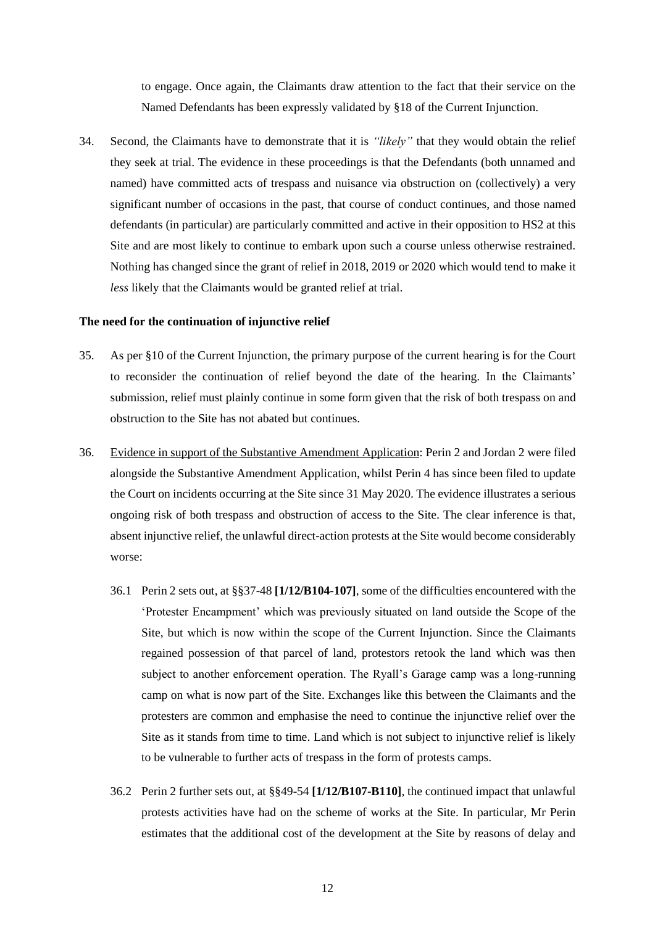to engage. Once again, the Claimants draw attention to the fact that their service on the Named Defendants has been expressly validated by §18 of the Current Injunction.

34. Second, the Claimants have to demonstrate that it is *"likely"* that they would obtain the relief they seek at trial. The evidence in these proceedings is that the Defendants (both unnamed and named) have committed acts of trespass and nuisance via obstruction on (collectively) a very significant number of occasions in the past, that course of conduct continues, and those named defendants (in particular) are particularly committed and active in their opposition to HS2 at this Site and are most likely to continue to embark upon such a course unless otherwise restrained. Nothing has changed since the grant of relief in 2018, 2019 or 2020 which would tend to make it *less* likely that the Claimants would be granted relief at trial.

#### **The need for the continuation of injunctive relief**

- 35. As per §10 of the Current Injunction, the primary purpose of the current hearing is for the Court to reconsider the continuation of relief beyond the date of the hearing. In the Claimants' submission, relief must plainly continue in some form given that the risk of both trespass on and obstruction to the Site has not abated but continues.
- 36. Evidence in support of the Substantive Amendment Application: Perin 2 and Jordan 2 were filed alongside the Substantive Amendment Application, whilst Perin 4 has since been filed to update the Court on incidents occurring at the Site since 31 May 2020. The evidence illustrates a serious ongoing risk of both trespass and obstruction of access to the Site. The clear inference is that, absent injunctive relief, the unlawful direct-action protests at the Site would become considerably worse:
	- 36.1 Perin 2 sets out, at §§37-48 **[1/12/B104-107]**, some of the difficulties encountered with the 'Protester Encampment' which was previously situated on land outside the Scope of the Site, but which is now within the scope of the Current Injunction. Since the Claimants regained possession of that parcel of land, protestors retook the land which was then subject to another enforcement operation. The Ryall's Garage camp was a long-running camp on what is now part of the Site. Exchanges like this between the Claimants and the protesters are common and emphasise the need to continue the injunctive relief over the Site as it stands from time to time. Land which is not subject to injunctive relief is likely to be vulnerable to further acts of trespass in the form of protests camps.
	- 36.2 Perin 2 further sets out, at §§49-54 **[1/12/B107-B110]**, the continued impact that unlawful protests activities have had on the scheme of works at the Site. In particular, Mr Perin estimates that the additional cost of the development at the Site by reasons of delay and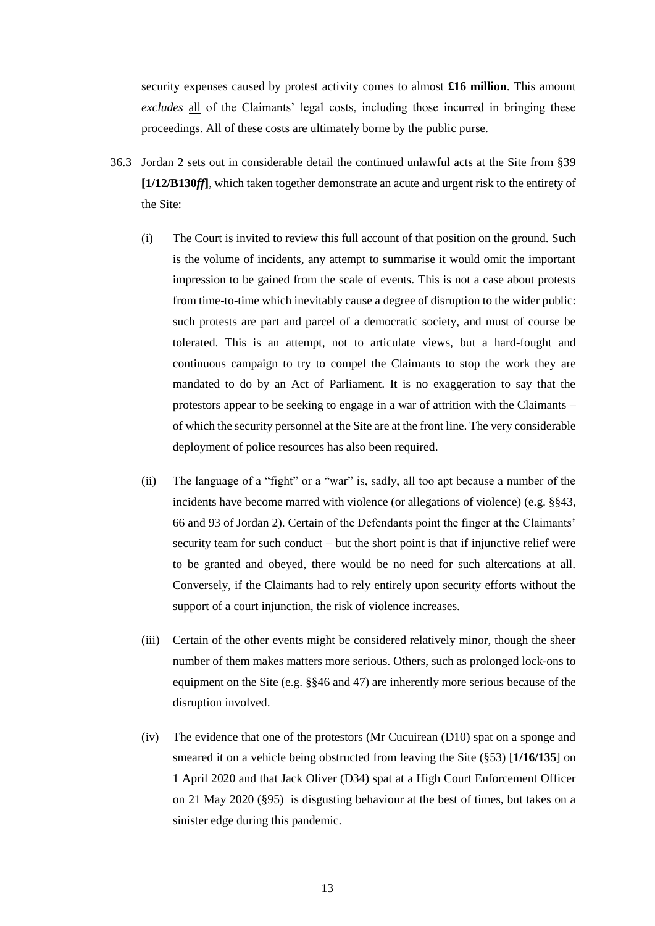security expenses caused by protest activity comes to almost **£16 million**. This amount *excludes* all of the Claimants' legal costs, including those incurred in bringing these proceedings. All of these costs are ultimately borne by the public purse.

- 36.3 Jordan 2 sets out in considerable detail the continued unlawful acts at the Site from §39 **[1/12/B130***ff***]**, which taken together demonstrate an acute and urgent risk to the entirety of the Site:
	- (i) The Court is invited to review this full account of that position on the ground. Such is the volume of incidents, any attempt to summarise it would omit the important impression to be gained from the scale of events. This is not a case about protests from time-to-time which inevitably cause a degree of disruption to the wider public: such protests are part and parcel of a democratic society, and must of course be tolerated. This is an attempt, not to articulate views, but a hard-fought and continuous campaign to try to compel the Claimants to stop the work they are mandated to do by an Act of Parliament. It is no exaggeration to say that the protestors appear to be seeking to engage in a war of attrition with the Claimants – of which the security personnel at the Site are at the front line. The very considerable deployment of police resources has also been required.
	- (ii) The language of a "fight" or a "war" is, sadly, all too apt because a number of the incidents have become marred with violence (or allegations of violence) (e.g. §§43, 66 and 93 of Jordan 2). Certain of the Defendants point the finger at the Claimants' security team for such conduct – but the short point is that if injunctive relief were to be granted and obeyed, there would be no need for such altercations at all. Conversely, if the Claimants had to rely entirely upon security efforts without the support of a court injunction, the risk of violence increases.
	- (iii) Certain of the other events might be considered relatively minor, though the sheer number of them makes matters more serious. Others, such as prolonged lock-ons to equipment on the Site (e.g. §§46 and 47) are inherently more serious because of the disruption involved.
	- (iv) The evidence that one of the protestors (Mr Cucuirean (D10) spat on a sponge and smeared it on a vehicle being obstructed from leaving the Site (§53) [**1/16/135**] on 1 April 2020 and that Jack Oliver (D34) spat at a High Court Enforcement Officer on 21 May 2020 (§95) is disgusting behaviour at the best of times, but takes on a sinister edge during this pandemic.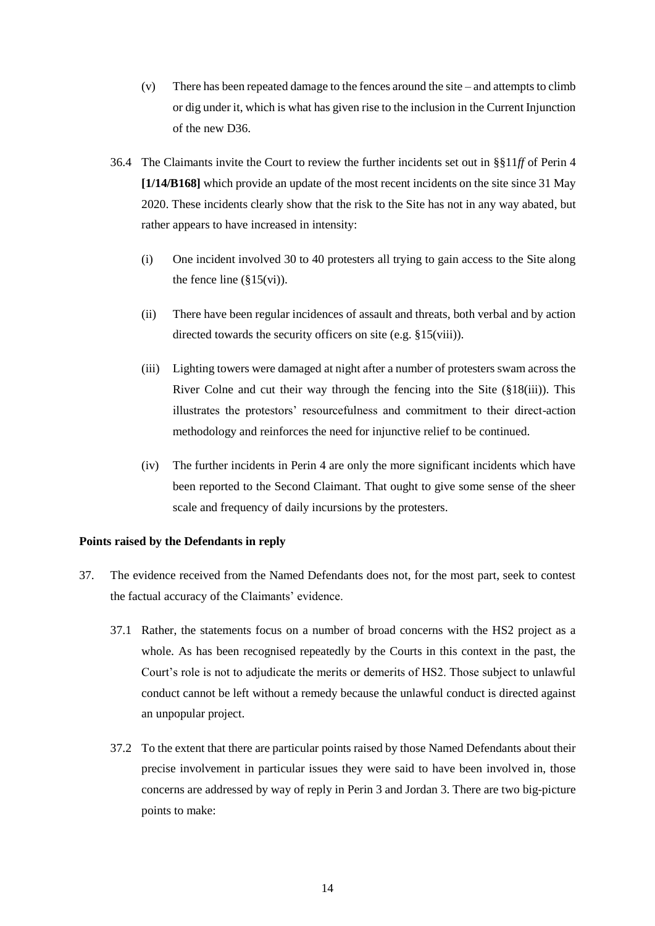- (v) There has been repeated damage to the fences around the site and attempts to climb or dig under it, which is what has given rise to the inclusion in the Current Injunction of the new D36.
- 36.4 The Claimants invite the Court to review the further incidents set out in §§11*ff* of Perin 4 **[1/14/B168]** which provide an update of the most recent incidents on the site since 31 May 2020. These incidents clearly show that the risk to the Site has not in any way abated, but rather appears to have increased in intensity:
	- (i) One incident involved 30 to 40 protesters all trying to gain access to the Site along the fence line  $(\S15(vi))$ .
	- (ii) There have been regular incidences of assault and threats, both verbal and by action directed towards the security officers on site (e.g. §15(viii)).
	- (iii) Lighting towers were damaged at night after a number of protesters swam across the River Colne and cut their way through the fencing into the Site  $(\S18(iii))$ . This illustrates the protestors' resourcefulness and commitment to their direct-action methodology and reinforces the need for injunctive relief to be continued.
	- (iv) The further incidents in Perin 4 are only the more significant incidents which have been reported to the Second Claimant. That ought to give some sense of the sheer scale and frequency of daily incursions by the protesters.

## **Points raised by the Defendants in reply**

- 37. The evidence received from the Named Defendants does not, for the most part, seek to contest the factual accuracy of the Claimants' evidence.
	- 37.1 Rather, the statements focus on a number of broad concerns with the HS2 project as a whole. As has been recognised repeatedly by the Courts in this context in the past, the Court's role is not to adjudicate the merits or demerits of HS2. Those subject to unlawful conduct cannot be left without a remedy because the unlawful conduct is directed against an unpopular project.
	- 37.2 To the extent that there are particular points raised by those Named Defendants about their precise involvement in particular issues they were said to have been involved in, those concerns are addressed by way of reply in Perin 3 and Jordan 3. There are two big-picture points to make: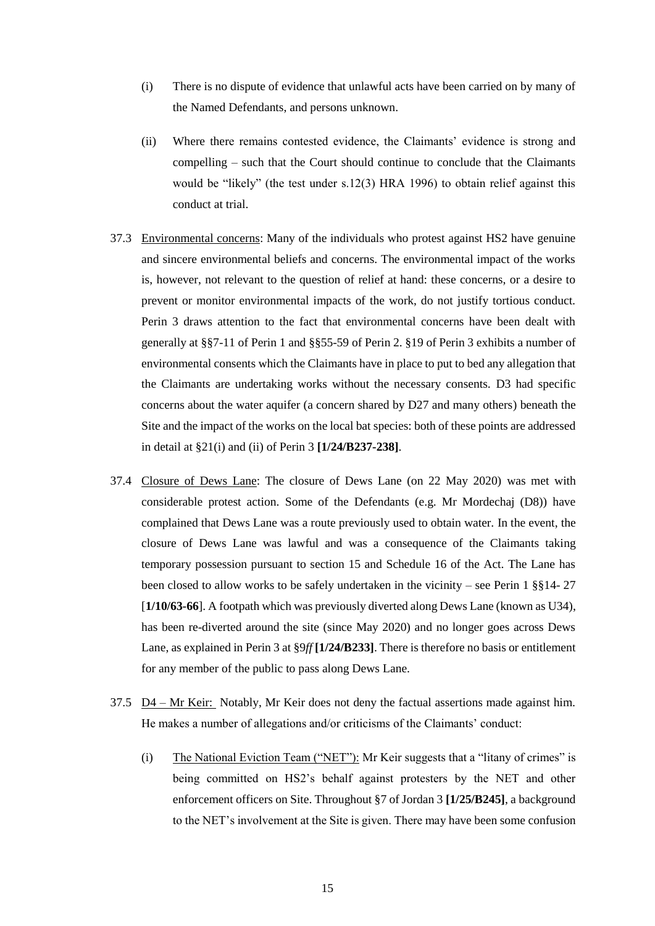- (i) There is no dispute of evidence that unlawful acts have been carried on by many of the Named Defendants, and persons unknown.
- (ii) Where there remains contested evidence, the Claimants' evidence is strong and compelling – such that the Court should continue to conclude that the Claimants would be "likely" (the test under s.12(3) HRA 1996) to obtain relief against this conduct at trial.
- 37.3 Environmental concerns: Many of the individuals who protest against HS2 have genuine and sincere environmental beliefs and concerns. The environmental impact of the works is, however, not relevant to the question of relief at hand: these concerns, or a desire to prevent or monitor environmental impacts of the work, do not justify tortious conduct. Perin 3 draws attention to the fact that environmental concerns have been dealt with generally at §§7-11 of Perin 1 and §§55-59 of Perin 2. §19 of Perin 3 exhibits a number of environmental consents which the Claimants have in place to put to bed any allegation that the Claimants are undertaking works without the necessary consents. D3 had specific concerns about the water aquifer (a concern shared by D27 and many others) beneath the Site and the impact of the works on the local bat species: both of these points are addressed in detail at §21(i) and (ii) of Perin 3 **[1/24/B237-238]**.
- 37.4 Closure of Dews Lane: The closure of Dews Lane (on 22 May 2020) was met with considerable protest action. Some of the Defendants (e.g. Mr Mordechaj (D8)) have complained that Dews Lane was a route previously used to obtain water. In the event, the closure of Dews Lane was lawful and was a consequence of the Claimants taking temporary possession pursuant to section 15 and Schedule 16 of the Act. The Lane has been closed to allow works to be safely undertaken in the vicinity – see Perin 1 §§14- 27 [**1/10/63-66**]. A footpath which was previously diverted along Dews Lane (known as U34), has been re-diverted around the site (since May 2020) and no longer goes across Dews Lane, as explained in Perin 3 at §9*ff* **[1/24/B233]**. There is therefore no basis or entitlement for any member of the public to pass along Dews Lane.
- 37.5  $\underline{D4} \underline{Mr}$  Keir: Notably, Mr Keir does not deny the factual assertions made against him. He makes a number of allegations and/or criticisms of the Claimants' conduct:
	- (i) The National Eviction Team ("NET"): Mr Keir suggests that a "litany of crimes" is being committed on HS2's behalf against protesters by the NET and other enforcement officers on Site. Throughout §7 of Jordan 3 **[1/25/B245]**, a background to the NET's involvement at the Site is given. There may have been some confusion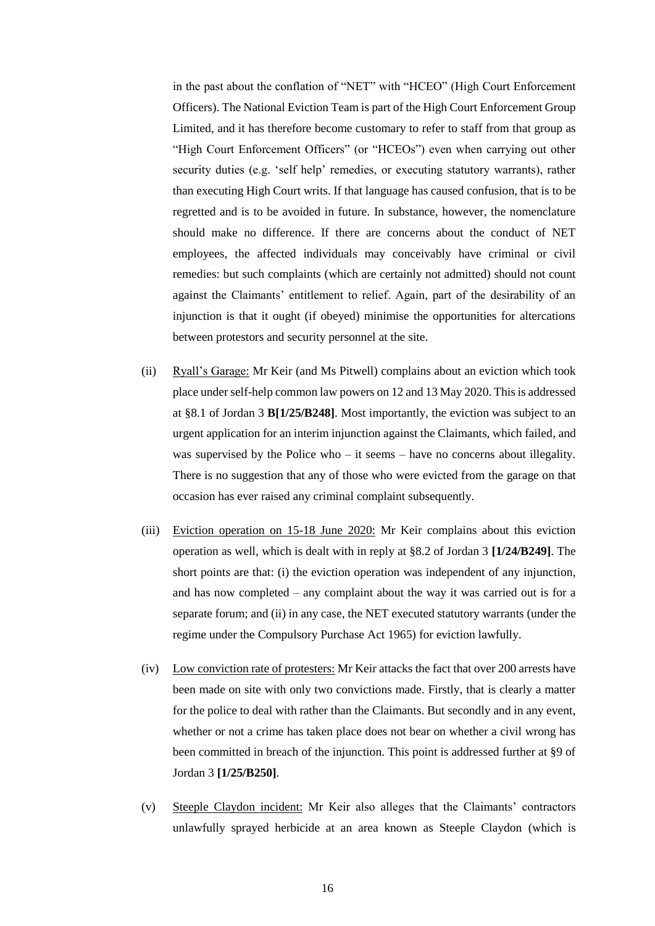in the past about the conflation of "NET" with "HCEO" (High Court Enforcement Officers). The National Eviction Team is part of the High Court Enforcement Group Limited, and it has therefore become customary to refer to staff from that group as "High Court Enforcement Officers" (or "HCEOs") even when carrying out other security duties (e.g. 'self help' remedies, or executing statutory warrants), rather than executing High Court writs. If that language has caused confusion, that is to be regretted and is to be avoided in future. In substance, however, the nomenclature should make no difference. If there are concerns about the conduct of NET employees, the affected individuals may conceivably have criminal or civil remedies: but such complaints (which are certainly not admitted) should not count against the Claimants' entitlement to relief. Again, part of the desirability of an injunction is that it ought (if obeyed) minimise the opportunities for altercations between protestors and security personnel at the site.

- (ii) Ryall's Garage: Mr Keir (and Ms Pitwell) complains about an eviction which took place under self-help common law powers on 12 and 13 May 2020. This is addressed at §8.1 of Jordan 3 **B[1/25/B248]**. Most importantly, the eviction was subject to an urgent application for an interim injunction against the Claimants, which failed, and was supervised by the Police who – it seems – have no concerns about illegality. There is no suggestion that any of those who were evicted from the garage on that occasion has ever raised any criminal complaint subsequently.
- (iii) Eviction operation on 15-18 June 2020: Mr Keir complains about this eviction operation as well, which is dealt with in reply at §8.2 of Jordan 3 **[1/24/B249]**. The short points are that: (i) the eviction operation was independent of any injunction, and has now completed – any complaint about the way it was carried out is for a separate forum; and (ii) in any case, the NET executed statutory warrants (under the regime under the Compulsory Purchase Act 1965) for eviction lawfully.
- (iv) Low conviction rate of protesters: Mr Keir attacks the fact that over 200 arrests have been made on site with only two convictions made. Firstly, that is clearly a matter for the police to deal with rather than the Claimants. But secondly and in any event, whether or not a crime has taken place does not bear on whether a civil wrong has been committed in breach of the injunction. This point is addressed further at §9 of Jordan 3 **[1/25/B250]**.
- (v) Steeple Claydon incident: Mr Keir also alleges that the Claimants' contractors unlawfully sprayed herbicide at an area known as Steeple Claydon (which is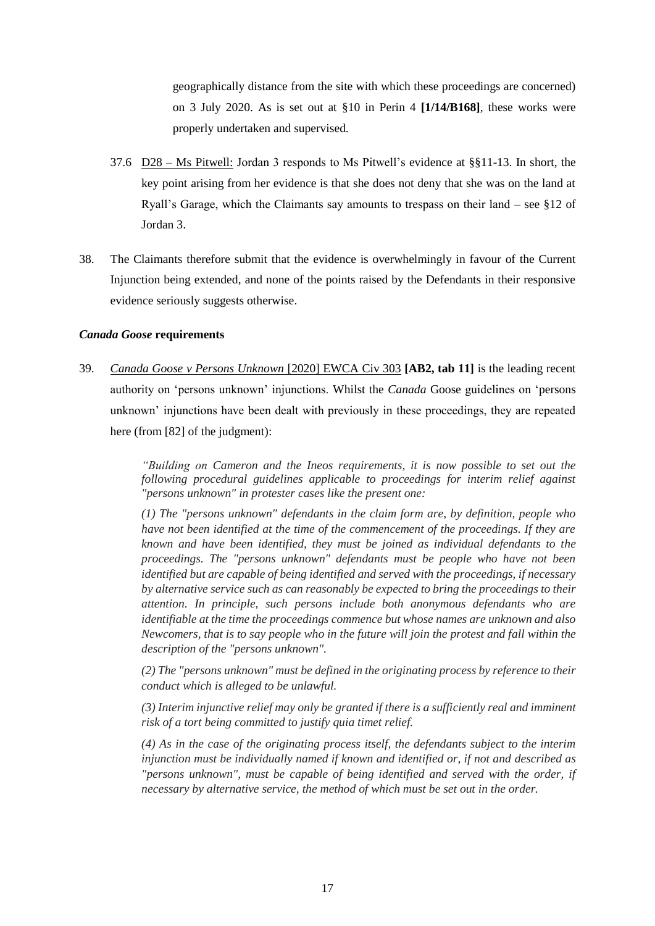geographically distance from the site with which these proceedings are concerned) on 3 July 2020. As is set out at §10 in Perin 4 **[1/14/B168]**, these works were properly undertaken and supervised.

- 37.6  $D28 Ms$  Pitwell: Jordan 3 responds to Ms Pitwell's evidence at §§11-13. In short, the key point arising from her evidence is that she does not deny that she was on the land at Ryall's Garage, which the Claimants say amounts to trespass on their land – see §12 of Jordan 3.
- 38. The Claimants therefore submit that the evidence is overwhelmingly in favour of the Current Injunction being extended, and none of the points raised by the Defendants in their responsive evidence seriously suggests otherwise.

## *Canada Goose* **requirements**

39. *Canada Goose v Persons Unknown* [2020] EWCA Civ 303 **[AB2, tab 11]** is the leading recent authority on 'persons unknown' injunctions. Whilst the *Canada* Goose guidelines on 'persons unknown' injunctions have been dealt with previously in these proceedings, they are repeated here (from [82] of the judgment):

> *"Building on Cameron and the Ineos requirements, it is now possible to set out the following procedural guidelines applicable to proceedings for interim relief against "persons unknown" in protester cases like the present one:*

> *(1) The "persons unknown" defendants in the claim form are, by definition, people who have not been identified at the time of the commencement of the proceedings. If they are known and have been identified, they must be joined as individual defendants to the proceedings. The "persons unknown" defendants must be people who have not been identified but are capable of being identified and served with the proceedings, if necessary by alternative service such as can reasonably be expected to bring the proceedings to their attention. In principle, such persons include both anonymous defendants who are identifiable at the time the proceedings commence but whose names are unknown and also Newcomers, that is to say people who in the future will join the protest and fall within the description of the "persons unknown".*

> *(2) The "persons unknown" must be defined in the originating process by reference to their conduct which is alleged to be unlawful.*

> *(3) Interim injunctive relief may only be granted if there is a sufficiently real and imminent risk of a tort being committed to justify quia timet relief.*

> *(4) As in the case of the originating process itself, the defendants subject to the interim injunction must be individually named if known and identified or, if not and described as "persons unknown", must be capable of being identified and served with the order, if necessary by alternative service, the method of which must be set out in the order.*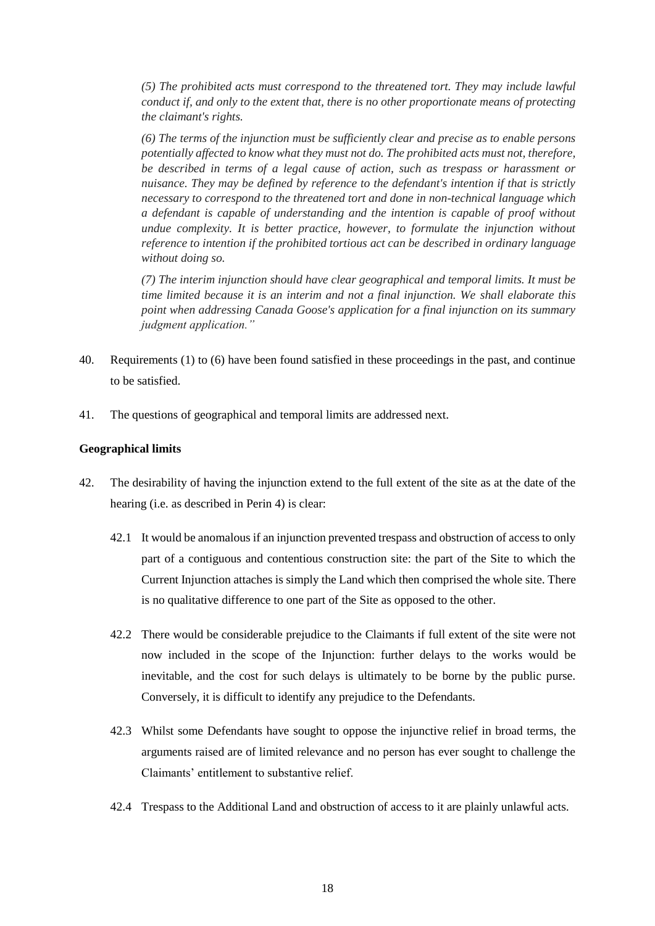*(5) The prohibited acts must correspond to the threatened tort. They may include lawful conduct if, and only to the extent that, there is no other proportionate means of protecting the claimant's rights.* 

*(6) The terms of the injunction must be sufficiently clear and precise as to enable persons potentially affected to know what they must not do. The prohibited acts must not, therefore, be described in terms of a legal cause of action, such as trespass or harassment or nuisance. They may be defined by reference to the defendant's intention if that is strictly necessary to correspond to the threatened tort and done in non-technical language which a defendant is capable of understanding and the intention is capable of proof without undue complexity. It is better practice, however, to formulate the injunction without reference to intention if the prohibited tortious act can be described in ordinary language without doing so.* 

*(7) The interim injunction should have clear geographical and temporal limits. It must be time limited because it is an interim and not a final injunction. We shall elaborate this point when addressing Canada Goose's application for a final injunction on its summary judgment application."* 

- 40. Requirements (1) to (6) have been found satisfied in these proceedings in the past, and continue to be satisfied.
- 41. The questions of geographical and temporal limits are addressed next.

## **Geographical limits**

- 42. The desirability of having the injunction extend to the full extent of the site as at the date of the hearing (i.e. as described in Perin 4) is clear:
	- 42.1 It would be anomalous if an injunction prevented trespass and obstruction of access to only part of a contiguous and contentious construction site: the part of the Site to which the Current Injunction attaches is simply the Land which then comprised the whole site. There is no qualitative difference to one part of the Site as opposed to the other.
	- 42.2 There would be considerable prejudice to the Claimants if full extent of the site were not now included in the scope of the Injunction: further delays to the works would be inevitable, and the cost for such delays is ultimately to be borne by the public purse. Conversely, it is difficult to identify any prejudice to the Defendants.
	- 42.3 Whilst some Defendants have sought to oppose the injunctive relief in broad terms, the arguments raised are of limited relevance and no person has ever sought to challenge the Claimants' entitlement to substantive relief.
	- 42.4 Trespass to the Additional Land and obstruction of access to it are plainly unlawful acts.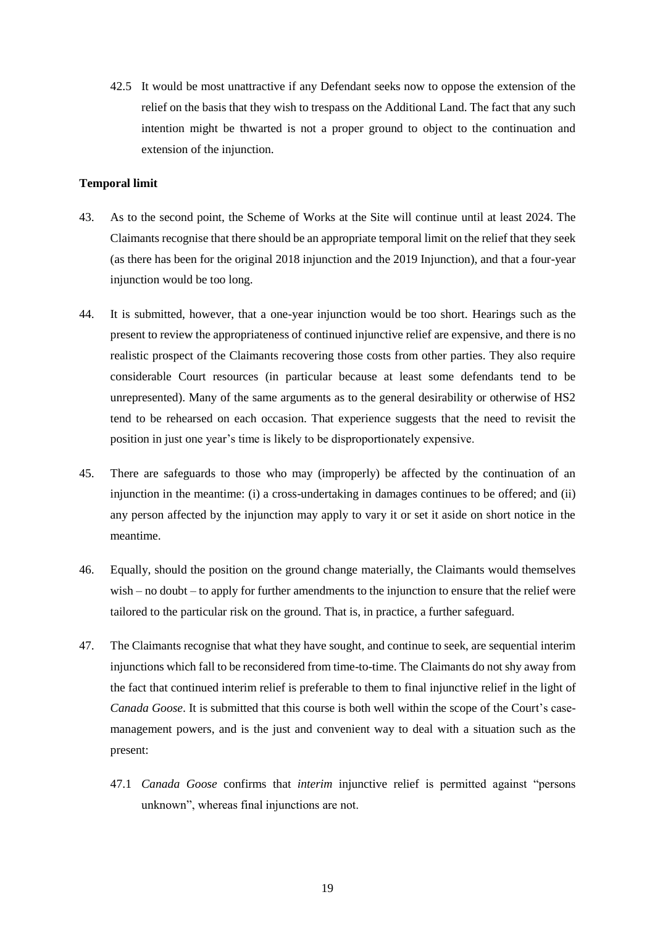42.5 It would be most unattractive if any Defendant seeks now to oppose the extension of the relief on the basis that they wish to trespass on the Additional Land. The fact that any such intention might be thwarted is not a proper ground to object to the continuation and extension of the injunction.

#### **Temporal limit**

- 43. As to the second point, the Scheme of Works at the Site will continue until at least 2024. The Claimants recognise that there should be an appropriate temporal limit on the relief that they seek (as there has been for the original 2018 injunction and the 2019 Injunction), and that a four-year injunction would be too long.
- 44. It is submitted, however, that a one-year injunction would be too short. Hearings such as the present to review the appropriateness of continued injunctive relief are expensive, and there is no realistic prospect of the Claimants recovering those costs from other parties. They also require considerable Court resources (in particular because at least some defendants tend to be unrepresented). Many of the same arguments as to the general desirability or otherwise of HS2 tend to be rehearsed on each occasion. That experience suggests that the need to revisit the position in just one year's time is likely to be disproportionately expensive.
- 45. There are safeguards to those who may (improperly) be affected by the continuation of an injunction in the meantime: (i) a cross-undertaking in damages continues to be offered; and (ii) any person affected by the injunction may apply to vary it or set it aside on short notice in the meantime.
- 46. Equally, should the position on the ground change materially, the Claimants would themselves wish – no doubt – to apply for further amendments to the injunction to ensure that the relief were tailored to the particular risk on the ground. That is, in practice, a further safeguard.
- 47. The Claimants recognise that what they have sought, and continue to seek, are sequential interim injunctions which fall to be reconsidered from time-to-time. The Claimants do not shy away from the fact that continued interim relief is preferable to them to final injunctive relief in the light of *Canada Goose*. It is submitted that this course is both well within the scope of the Court's casemanagement powers, and is the just and convenient way to deal with a situation such as the present:
	- 47.1 *Canada Goose* confirms that *interim* injunctive relief is permitted against "persons unknown", whereas final injunctions are not.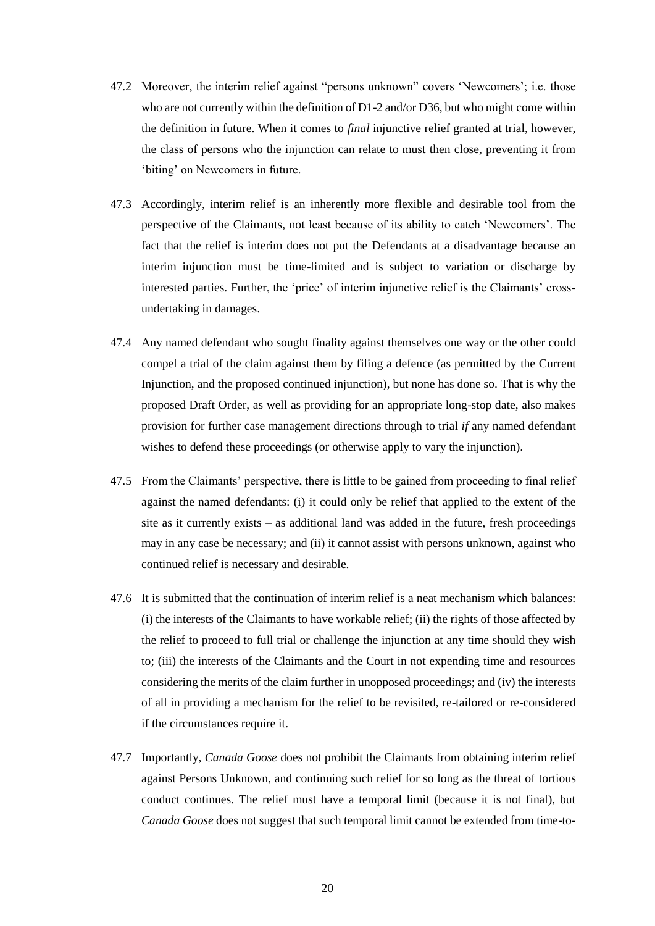- 47.2 Moreover, the interim relief against "persons unknown" covers 'Newcomers'; i.e. those who are not currently within the definition of D1-2 and/or D36, but who might come within the definition in future. When it comes to *final* injunctive relief granted at trial, however, the class of persons who the injunction can relate to must then close, preventing it from 'biting' on Newcomers in future.
- 47.3 Accordingly, interim relief is an inherently more flexible and desirable tool from the perspective of the Claimants, not least because of its ability to catch 'Newcomers'. The fact that the relief is interim does not put the Defendants at a disadvantage because an interim injunction must be time-limited and is subject to variation or discharge by interested parties. Further, the 'price' of interim injunctive relief is the Claimants' crossundertaking in damages.
- 47.4 Any named defendant who sought finality against themselves one way or the other could compel a trial of the claim against them by filing a defence (as permitted by the Current Injunction, and the proposed continued injunction), but none has done so. That is why the proposed Draft Order, as well as providing for an appropriate long-stop date, also makes provision for further case management directions through to trial *if* any named defendant wishes to defend these proceedings (or otherwise apply to vary the injunction).
- 47.5 From the Claimants' perspective, there is little to be gained from proceeding to final relief against the named defendants: (i) it could only be relief that applied to the extent of the site as it currently exists – as additional land was added in the future, fresh proceedings may in any case be necessary; and (ii) it cannot assist with persons unknown, against who continued relief is necessary and desirable.
- 47.6 It is submitted that the continuation of interim relief is a neat mechanism which balances: (i) the interests of the Claimants to have workable relief; (ii) the rights of those affected by the relief to proceed to full trial or challenge the injunction at any time should they wish to; (iii) the interests of the Claimants and the Court in not expending time and resources considering the merits of the claim further in unopposed proceedings; and (iv) the interests of all in providing a mechanism for the relief to be revisited, re-tailored or re-considered if the circumstances require it.
- 47.7 Importantly, *Canada Goose* does not prohibit the Claimants from obtaining interim relief against Persons Unknown, and continuing such relief for so long as the threat of tortious conduct continues. The relief must have a temporal limit (because it is not final), but *Canada Goose* does not suggest that such temporal limit cannot be extended from time-to-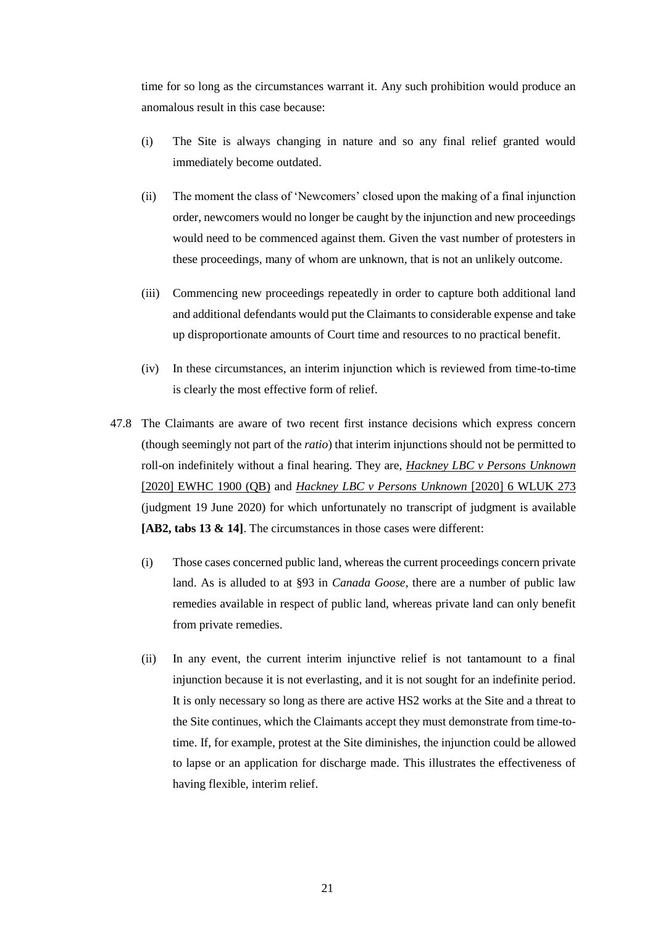time for so long as the circumstances warrant it. Any such prohibition would produce an anomalous result in this case because:

- (i) The Site is always changing in nature and so any final relief granted would immediately become outdated.
- (ii) The moment the class of 'Newcomers' closed upon the making of a final injunction order, newcomers would no longer be caught by the injunction and new proceedings would need to be commenced against them. Given the vast number of protesters in these proceedings, many of whom are unknown, that is not an unlikely outcome.
- (iii) Commencing new proceedings repeatedly in order to capture both additional land and additional defendants would put the Claimants to considerable expense and take up disproportionate amounts of Court time and resources to no practical benefit.
- (iv) In these circumstances, an interim injunction which is reviewed from time-to-time is clearly the most effective form of relief.
- 47.8 The Claimants are aware of two recent first instance decisions which express concern (though seemingly not part of the *ratio*) that interim injunctions should not be permitted to roll-on indefinitely without a final hearing. They are, *Hackney LBC v Persons Unknown* [2020] EWHC 1900 (QB) and *Hackney LBC v Persons Unknown* [2020] 6 WLUK 273 (judgment 19 June 2020) for which unfortunately no transcript of judgment is available **[AB2, tabs 13 & 14]**. The circumstances in those cases were different:
	- (i) Those cases concerned public land, whereas the current proceedings concern private land. As is alluded to at §93 in *Canada Goose*, there are a number of public law remedies available in respect of public land, whereas private land can only benefit from private remedies.
	- (ii) In any event, the current interim injunctive relief is not tantamount to a final injunction because it is not everlasting, and it is not sought for an indefinite period. It is only necessary so long as there are active HS2 works at the Site and a threat to the Site continues, which the Claimants accept they must demonstrate from time-totime. If, for example, protest at the Site diminishes, the injunction could be allowed to lapse or an application for discharge made. This illustrates the effectiveness of having flexible, interim relief.